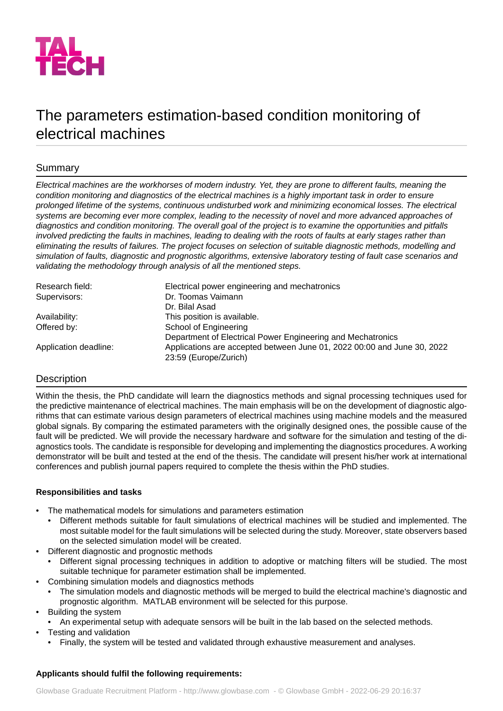

# The parameters estimation-based condition monitoring of electrical machines

# Summary

Electrical machines are the workhorses of modern industry. Yet, they are prone to different faults, meaning the *condition monitoring and diagnostics of the electrical machines is a highly important task in order to ensure prolonged lifetime of the systems, continuous undisturbed work and minimizing economical losses. The electrical systems are becoming ever more complex, leading to the necessity of novel and more advanced approaches of diagnostics and condition monitoring. The overall goal of the project is to examine the opportunities and pitfalls involved predicting the faults in machines, leading to dealing with the roots of faults at early stages rather than eliminating the results of failures. The project focuses on selection of suitable diagnostic methods, modelling and simulation of faults, diagnostic and prognostic algorithms, extensive laboratory testing of fault case scenarios and validating the methodology through analysis of all the mentioned steps.*

| Research field:       | Electrical power engineering and mechatronics                                                    |
|-----------------------|--------------------------------------------------------------------------------------------------|
| Supervisors:          | Dr. Toomas Vaimann                                                                               |
|                       | Dr. Bilal Asad                                                                                   |
| Availability:         | This position is available.                                                                      |
| Offered by:           | School of Engineering                                                                            |
|                       | Department of Electrical Power Engineering and Mechatronics                                      |
| Application deadline: | Applications are accepted between June 01, 2022 00:00 and June 30, 2022<br>23:59 (Europe/Zurich) |

## **Description**

Within the thesis, the PhD candidate will learn the diagnostics methods and signal processing techniques used for the predictive maintenance of electrical machines. The main emphasis will be on the development of diagnostic algorithms that can estimate various design parameters of electrical machines using machine models and the measured global signals. By comparing the estimated parameters with the originally designed ones, the possible cause of the fault will be predicted. We will provide the necessary hardware and software for the simulation and testing of the diagnostics tools. The candidate is responsible for developing and implementing the diagnostics procedures. A working demonstrator will be built and tested at the end of the thesis. The candidate will present his/her work at international conferences and publish journal papers required to complete the thesis within the PhD studies.

## **Responsibilities and tasks**

- The mathematical models for simulations and parameters estimation
	- Different methods suitable for fault simulations of electrical machines will be studied and implemented. The most suitable model for the fault simulations will be selected during the study. Moreover, state observers based on the selected simulation model will be created.
- Different diagnostic and prognostic methods
	- Different signal processing techniques in addition to adoptive or matching filters will be studied. The most suitable technique for parameter estimation shall be implemented.
- Combining simulation models and diagnostics methods
	- The simulation models and diagnostic methods will be merged to build the electrical machine's diagnostic and prognostic algorithm. MATLAB environment will be selected for this purpose.
- Building the system
	- An experimental setup with adequate sensors will be built in the lab based on the selected methods.
- Testing and validation
	- Finally, the system will be tested and validated through exhaustive measurement and analyses.

## **Applicants should fulfil the following requirements:**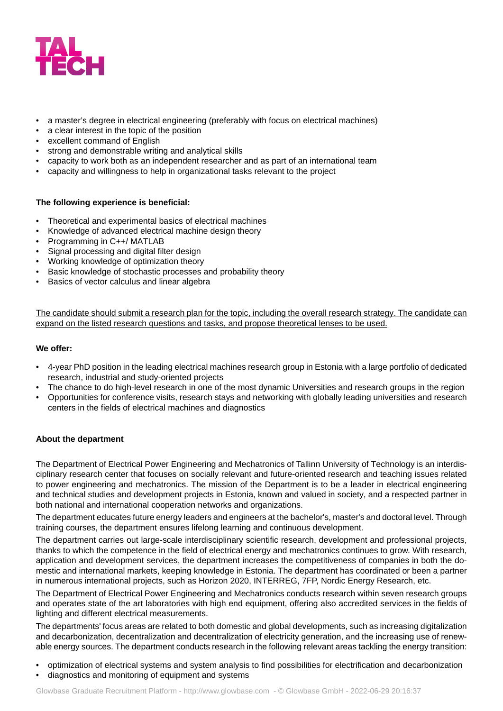

- a master's degree in electrical engineering (preferably with focus on electrical machines)
- a clear interest in the topic of the position
- excellent command of English
- strong and demonstrable writing and analytical skills
- capacity to work both as an independent researcher and as part of an international team
- capacity and willingness to help in organizational tasks relevant to the project

#### **The following experience is beneficial:**

- Theoretical and experimental basics of electrical machines
- Knowledge of advanced electrical machine design theory
- Programming in C++/ MATLAB
- Signal processing and digital filter design
- Working knowledge of optimization theory
- Basic knowledge of stochastic processes and probability theory
- Basics of vector calculus and linear algebra

The candidate should submit a research plan for the topic, including the overall research strategy. The candidate can expand on the listed research questions and tasks, and propose theoretical lenses to be used.

#### **We offer:**

- 4-year PhD position in the leading electrical machines research group in Estonia with a large portfolio of dedicated research, industrial and study-oriented projects
- The chance to do high-level research in one of the most dynamic Universities and research groups in the region
- Opportunities for conference visits, research stays and networking with globally leading universities and research centers in the fields of electrical machines and diagnostics

#### **About the department**

The Department of Electrical Power Engineering and Mechatronics of Tallinn University of Technology is an interdisciplinary research center that focuses on socially relevant and future-oriented research and teaching issues related to power engineering and mechatronics. The mission of the Department is to be a leader in electrical engineering and technical studies and development projects in Estonia, known and valued in society, and a respected partner in both national and international cooperation networks and organizations.

The department educates future energy leaders and engineers at the bachelor's, master's and doctoral level. Through training courses, the department ensures lifelong learning and continuous development.

The department carries out large-scale interdisciplinary scientific research, development and professional projects, thanks to which the competence in the field of electrical energy and mechatronics continues to grow. With research, application and development services, the department increases the competitiveness of companies in both the domestic and international markets, keeping knowledge in Estonia. The department has coordinated or been a partner in numerous international projects, such as Horizon 2020, INTERREG, 7FP, Nordic Energy Research, etc.

The Department of Electrical Power Engineering and Mechatronics conducts research within seven research groups and operates state of the art laboratories with high end equipment, offering also accredited services in the fields of lighting and different electrical measurements.

The departments' focus areas are related to both domestic and global developments, such as increasing digitalization and decarbonization, decentralization and decentralization of electricity generation, and the increasing use of renewable energy sources. The department conducts research in the following relevant areas tackling the energy transition:

- optimization of electrical systems and system analysis to find possibilities for electrification and decarbonization
- diagnostics and monitoring of equipment and systems